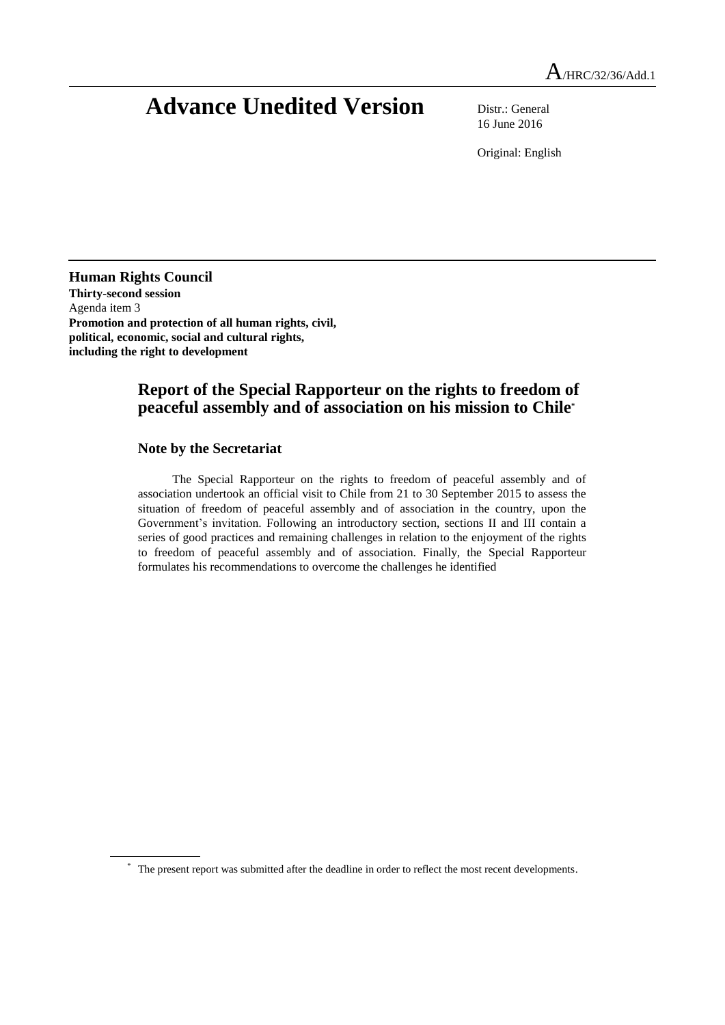# **Advance Unedited Version** Distr.: General

16 June 2016

Original: English

**Human Rights Council Thirty-second session** Agenda item 3 **Promotion and protection of all human rights, civil, political, economic, social and cultural rights, including the right to development**

# **Report of the Special Rapporteur on the rights to freedom of peaceful assembly and of association on his mission to Chile\***

### **Note by the Secretariat**

The Special Rapporteur on the rights to freedom of peaceful assembly and of association undertook an official visit to Chile from 21 to 30 September 2015 to assess the situation of freedom of peaceful assembly and of association in the country, upon the Government's invitation. Following an introductory section, sections II and III contain a series of good practices and remaining challenges in relation to the enjoyment of the rights to freedom of peaceful assembly and of association. Finally, the Special Rapporteur formulates his recommendations to overcome the challenges he identified

The present report was submitted after the deadline in order to reflect the most recent developments.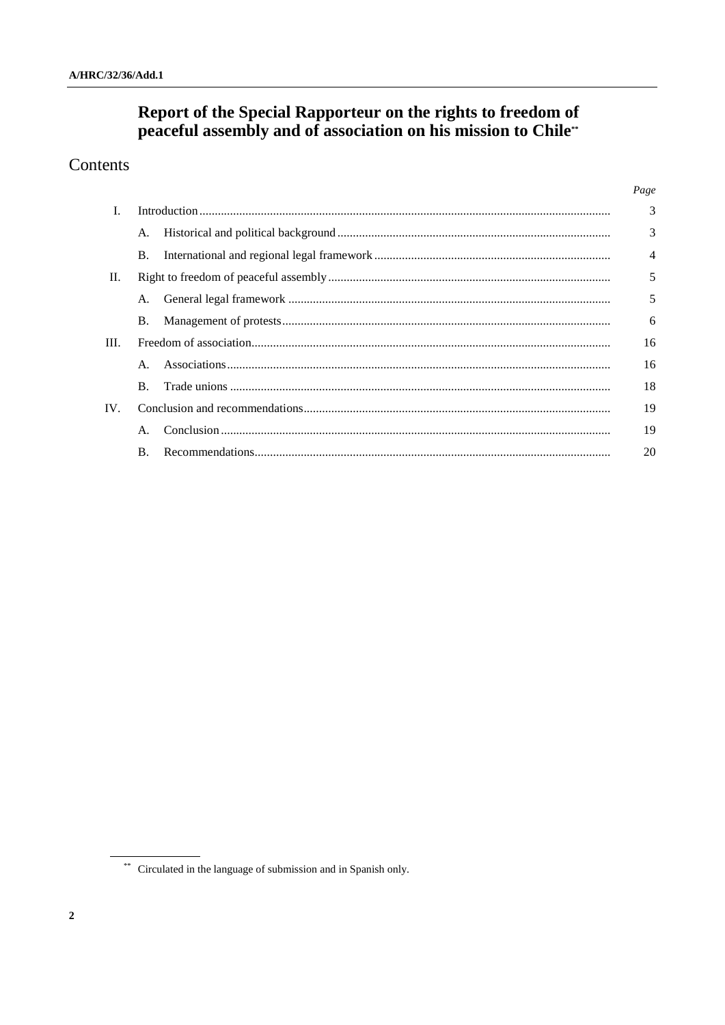# Report of the Special Rapporteur on the rights to freedom of peaceful assembly and of association on his mission to Chile\*\*

# Contents

|      |                |  | Page           |
|------|----------------|--|----------------|
| L    |                |  | 3              |
|      | А.             |  | 3              |
|      | <b>B.</b>      |  | $\overline{4}$ |
| П.   |                |  | 5              |
|      | A.             |  | 5              |
|      | <b>B.</b>      |  | 6              |
| III. |                |  | 16             |
|      | A.             |  | 16             |
|      | B.             |  | 18             |
| IV.  |                |  | 19             |
|      | $\mathsf{A}$ . |  | 19             |
|      | $\mathbf{B}$ . |  | 20             |

<sup>\*\*</sup> Circulated in the language of submission and in Spanish only.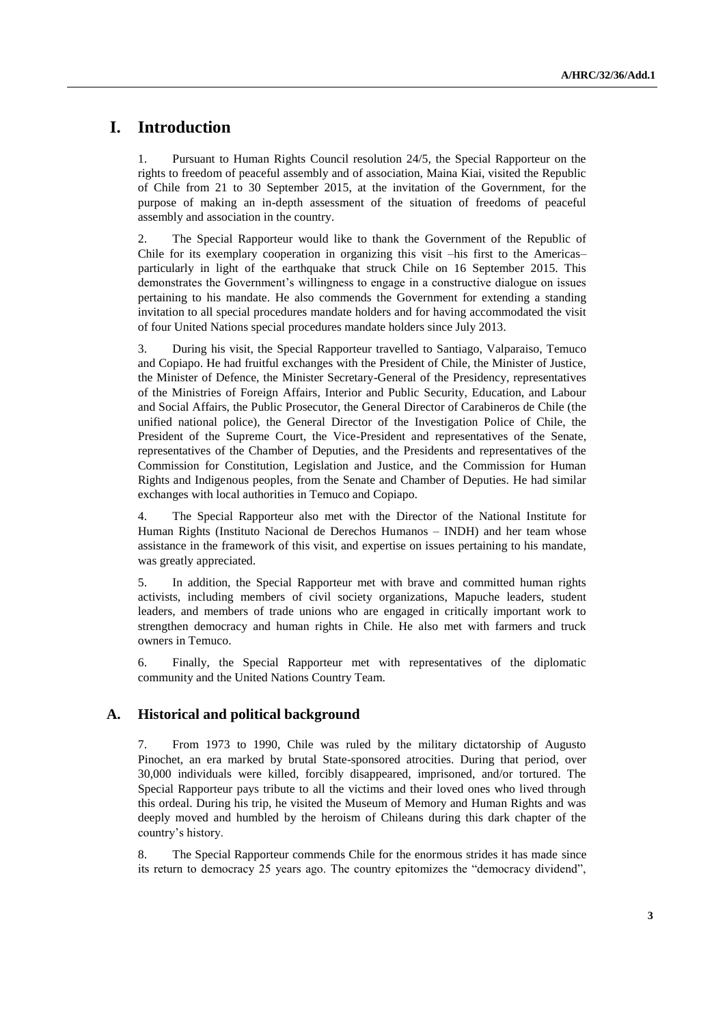## **I. Introduction**

1. Pursuant to Human Rights Council resolution 24/5, the Special Rapporteur on the rights to freedom of peaceful assembly and of association, Maina Kiai, visited the Republic of Chile from 21 to 30 September 2015, at the invitation of the Government, for the purpose of making an in-depth assessment of the situation of freedoms of peaceful assembly and association in the country.

2. The Special Rapporteur would like to thank the Government of the Republic of Chile for its exemplary cooperation in organizing this visit –his first to the Americas– particularly in light of the earthquake that struck Chile on 16 September 2015. This demonstrates the Government's willingness to engage in a constructive dialogue on issues pertaining to his mandate. He also commends the Government for extending a standing invitation to all special procedures mandate holders and for having accommodated the visit of four United Nations special procedures mandate holders since July 2013.

3. During his visit, the Special Rapporteur travelled to Santiago, Valparaiso, Temuco and Copiapo. He had fruitful exchanges with the President of Chile, the Minister of Justice, the Minister of Defence, the Minister Secretary-General of the Presidency, representatives of the Ministries of Foreign Affairs, Interior and Public Security, Education, and Labour and Social Affairs, the Public Prosecutor, the General Director of Carabineros de Chile (the unified national police), the General Director of the Investigation Police of Chile, the President of the Supreme Court, the Vice-President and representatives of the Senate, representatives of the Chamber of Deputies, and the Presidents and representatives of the Commission for Constitution, Legislation and Justice, and the Commission for Human Rights and Indigenous peoples, from the Senate and Chamber of Deputies. He had similar exchanges with local authorities in Temuco and Copiapo.

4. The Special Rapporteur also met with the Director of the National Institute for Human Rights (Instituto Nacional de Derechos Humanos – INDH) and her team whose assistance in the framework of this visit, and expertise on issues pertaining to his mandate, was greatly appreciated.

5. In addition, the Special Rapporteur met with brave and committed human rights activists, including members of civil society organizations, Mapuche leaders, student leaders, and members of trade unions who are engaged in critically important work to strengthen democracy and human rights in Chile. He also met with farmers and truck owners in Temuco.

6. Finally, the Special Rapporteur met with representatives of the diplomatic community and the United Nations Country Team.

### **A. Historical and political background**

7. From 1973 to 1990, Chile was ruled by the military dictatorship of Augusto Pinochet, an era marked by brutal State-sponsored atrocities. During that period, over 30,000 individuals were killed, forcibly disappeared, imprisoned, and/or tortured. The Special Rapporteur pays tribute to all the victims and their loved ones who lived through this ordeal. During his trip, he visited the Museum of Memory and Human Rights and was deeply moved and humbled by the heroism of Chileans during this dark chapter of the country's history.

8. The Special Rapporteur commends Chile for the enormous strides it has made since its return to democracy 25 years ago. The country epitomizes the "democracy dividend",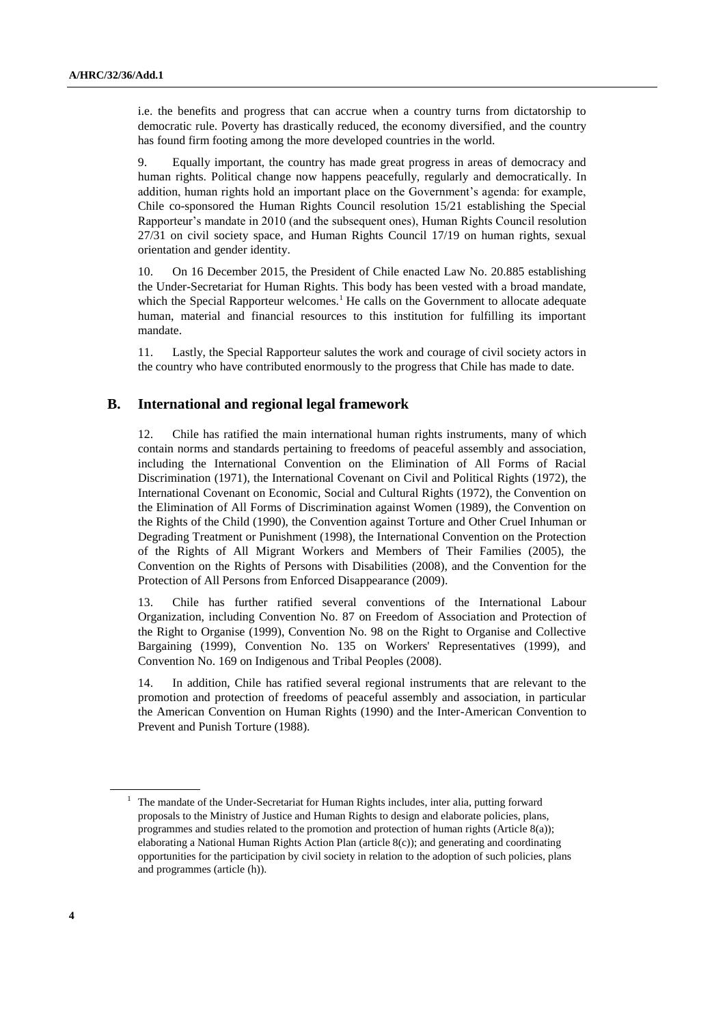i.e. the benefits and progress that can accrue when a country turns from dictatorship to democratic rule. Poverty has drastically reduced, the economy diversified, and the country has found firm footing among the more developed countries in the world.

9. Equally important, the country has made great progress in areas of democracy and human rights. Political change now happens peacefully, regularly and democratically. In addition, human rights hold an important place on the Government's agenda: for example, Chile co-sponsored the Human Rights Council resolution 15/21 establishing the Special Rapporteur's mandate in 2010 (and the subsequent ones), Human Rights Council resolution 27/31 on civil society space, and Human Rights Council 17/19 on human rights, sexual orientation and gender identity.

10. On 16 December 2015, the President of Chile enacted Law No. 20.885 establishing the Under-Secretariat for Human Rights. This body has been vested with a broad mandate, which the Special Rapporteur welcomes.<sup>1</sup> He calls on the Government to allocate adequate human, material and financial resources to this institution for fulfilling its important mandate.

11. Lastly, the Special Rapporteur salutes the work and courage of civil society actors in the country who have contributed enormously to the progress that Chile has made to date.

#### **B. International and regional legal framework**

12. Chile has ratified the main international human rights instruments, many of which contain norms and standards pertaining to freedoms of peaceful assembly and association, including the International Convention on the Elimination of All Forms of Racial Discrimination (1971), the International Covenant on Civil and Political Rights (1972), the International Covenant on Economic, Social and Cultural Rights (1972), the Convention on the Elimination of All Forms of Discrimination against Women (1989), the Convention on the Rights of the Child (1990), the Convention against Torture and Other Cruel Inhuman or Degrading Treatment or Punishment (1998), the International Convention on the Protection of the Rights of All Migrant Workers and Members of Their Families (2005), the Convention on the Rights of Persons with Disabilities (2008), and the Convention for the Protection of All Persons from Enforced Disappearance (2009).

13. Chile has further ratified several conventions of the International Labour Organization, including Convention No. 87 on Freedom of Association and Protection of the Right to Organise (1999), Convention No. 98 on the Right to Organise and Collective Bargaining (1999), Convention No. 135 on Workers' Representatives (1999), and Convention No. 169 on Indigenous and Tribal Peoples (2008).

14. In addition, Chile has ratified several regional instruments that are relevant to the promotion and protection of freedoms of peaceful assembly and association, in particular the American Convention on Human Rights (1990) and the Inter-American Convention to Prevent and Punish Torture (1988).

<sup>&</sup>lt;sup>1</sup> The mandate of the Under-Secretariat for Human Rights includes, inter alia, putting forward proposals to the Ministry of Justice and Human Rights to design and elaborate policies, plans, programmes and studies related to the promotion and protection of human rights (Article 8(a)); elaborating a National Human Rights Action Plan (article 8(c)); and generating and coordinating opportunities for the participation by civil society in relation to the adoption of such policies, plans and programmes (article (h)).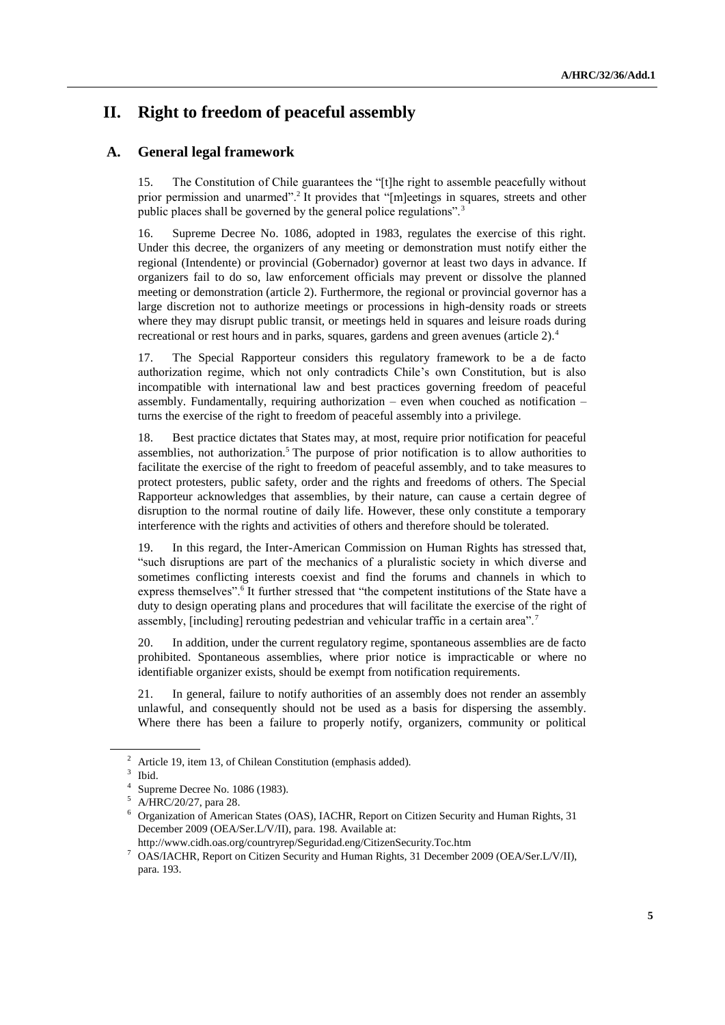# **II. Right to freedom of peaceful assembly**

### **A. General legal framework**

15. The Constitution of Chile guarantees the "[t]he right to assemble peacefully without prior permission and unarmed".<sup>2</sup> It provides that "[m]eetings in squares, streets and other public places shall be governed by the general police regulations".<sup>3</sup>

16. Supreme Decree No. 1086, adopted in 1983, regulates the exercise of this right. Under this decree, the organizers of any meeting or demonstration must notify either the regional (Intendente) or provincial (Gobernador) governor at least two days in advance. If organizers fail to do so, law enforcement officials may prevent or dissolve the planned meeting or demonstration (article 2). Furthermore, the regional or provincial governor has a large discretion not to authorize meetings or processions in high-density roads or streets where they may disrupt public transit, or meetings held in squares and leisure roads during recreational or rest hours and in parks, squares, gardens and green avenues (article 2).<sup>4</sup>

17. The Special Rapporteur considers this regulatory framework to be a de facto authorization regime, which not only contradicts Chile's own Constitution, but is also incompatible with international law and best practices governing freedom of peaceful assembly. Fundamentally, requiring authorization – even when couched as notification – turns the exercise of the right to freedom of peaceful assembly into a privilege.

18. Best practice dictates that States may, at most, require prior notification for peaceful assemblies, not authorization.<sup>5</sup> The purpose of prior notification is to allow authorities to facilitate the exercise of the right to freedom of peaceful assembly, and to take measures to protect protesters, public safety, order and the rights and freedoms of others. The Special Rapporteur acknowledges that assemblies, by their nature, can cause a certain degree of disruption to the normal routine of daily life. However, these only constitute a temporary interference with the rights and activities of others and therefore should be tolerated.

19. In this regard, the Inter-American Commission on Human Rights has stressed that, "such disruptions are part of the mechanics of a pluralistic society in which diverse and sometimes conflicting interests coexist and find the forums and channels in which to express themselves".<sup>6</sup> It further stressed that "the competent institutions of the State have a duty to design operating plans and procedures that will facilitate the exercise of the right of assembly, [including] rerouting pedestrian and vehicular traffic in a certain area".<sup>7</sup>

20. In addition, under the current regulatory regime, spontaneous assemblies are de facto prohibited. Spontaneous assemblies, where prior notice is impracticable or where no identifiable organizer exists, should be exempt from notification requirements.

21. In general, failure to notify authorities of an assembly does not render an assembly unlawful, and consequently should not be used as a basis for dispersing the assembly. Where there has been a failure to properly notify, organizers, community or political

<sup>2</sup> Article 19, item 13, of Chilean Constitution (emphasis added).

<sup>3</sup> Ibid.

<sup>4</sup> Supreme Decree No. 1086 (1983).

<sup>5</sup> A/HRC/20/27, para 28.

<sup>6</sup> Organization of American States (OAS), IACHR, Report on Citizen Security and Human Rights, 31 December 2009 (OEA/Ser.L/V/II), para. 198. Available at:

<http://www.cidh.oas.org/countryrep/Seguridad.eng/CitizenSecurity.Toc.htm>

<sup>7</sup> OAS/IACHR, Report on Citizen Security and Human Rights, 31 December 2009 (OEA/Ser.L/V/II), para. 193.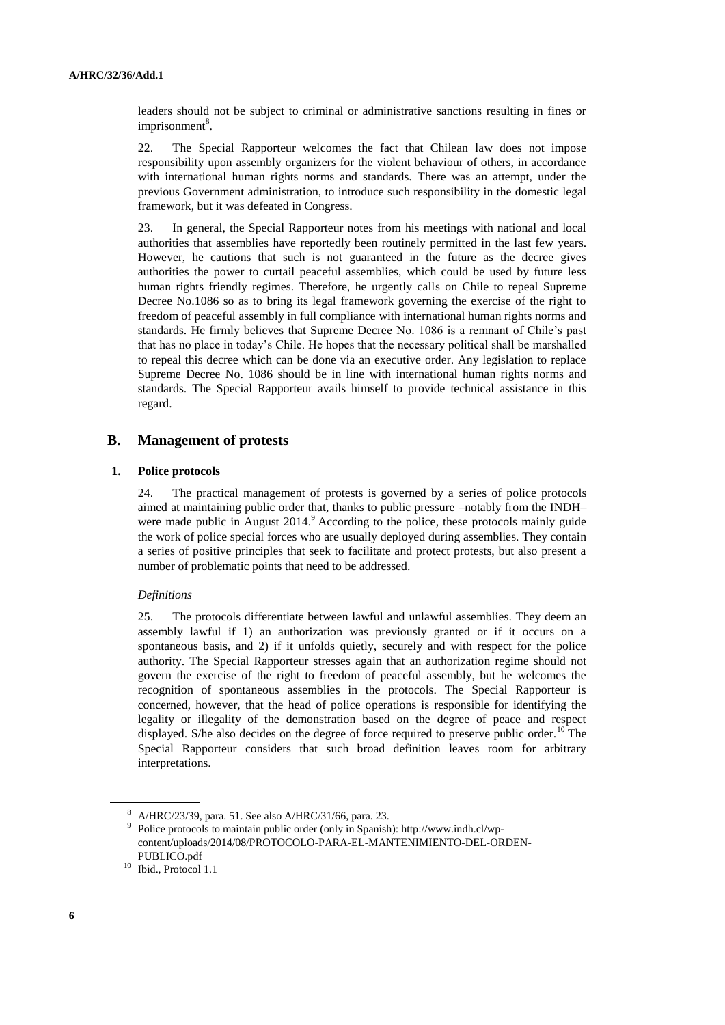leaders should not be subject to criminal or administrative sanctions resulting in fines or imprisonment<sup>8</sup>.

22. The Special Rapporteur welcomes the fact that Chilean law does not impose responsibility upon assembly organizers for the violent behaviour of others, in accordance with international human rights norms and standards. There was an attempt, under the previous Government administration, to introduce such responsibility in the domestic legal framework, but it was defeated in Congress.

23. In general, the Special Rapporteur notes from his meetings with national and local authorities that assemblies have reportedly been routinely permitted in the last few years. However, he cautions that such is not guaranteed in the future as the decree gives authorities the power to curtail peaceful assemblies, which could be used by future less human rights friendly regimes. Therefore, he urgently calls on Chile to repeal Supreme Decree No.1086 so as to bring its legal framework governing the exercise of the right to freedom of peaceful assembly in full compliance with international human rights norms and standards. He firmly believes that Supreme Decree No. 1086 is a remnant of Chile's past that has no place in today's Chile. He hopes that the necessary political shall be marshalled to repeal this decree which can be done via an executive order. Any legislation to replace Supreme Decree No. 1086 should be in line with international human rights norms and standards. The Special Rapporteur avails himself to provide technical assistance in this regard.

#### **B. Management of protests**

#### **1. Police protocols**

24. The practical management of protests is governed by a series of police protocols aimed at maintaining public order that, thanks to public pressure –notably from the INDH– were made public in August  $2014<sup>9</sup>$  According to the police, these protocols mainly guide the work of police special forces who are usually deployed during assemblies. They contain a series of positive principles that seek to facilitate and protect protests, but also present a number of problematic points that need to be addressed.

#### *Definitions*

25. The protocols differentiate between lawful and unlawful assemblies. They deem an assembly lawful if 1) an authorization was previously granted or if it occurs on a spontaneous basis, and 2) if it unfolds quietly, securely and with respect for the police authority. The Special Rapporteur stresses again that an authorization regime should not govern the exercise of the right to freedom of peaceful assembly, but he welcomes the recognition of spontaneous assemblies in the protocols. The Special Rapporteur is concerned, however, that the head of police operations is responsible for identifying the legality or illegality of the demonstration based on the degree of peace and respect displayed. S/he also decides on the degree of force required to preserve public order.<sup>10</sup> The Special Rapporteur considers that such broad definition leaves room for arbitrary interpretations.

<sup>8</sup> A/HRC/23/39, para. 51. See also A/HRC/31/66, para. 23.

<sup>9</sup> Police protocols to maintain public order (only in Spanish)[: http://www.indh.cl/wp](http://www.indh.cl/wp-content/uploads/2014/08/PROTOCOLO-PARA-EL-MANTENIMIENTO-DEL-ORDEN-PUBLICO.pdf)[content/uploads/2014/08/PROTOCOLO-PARA-EL-MANTENIMIENTO-DEL-ORDEN-](http://www.indh.cl/wp-content/uploads/2014/08/PROTOCOLO-PARA-EL-MANTENIMIENTO-DEL-ORDEN-PUBLICO.pdf)[PUBLICO.pdf](http://www.indh.cl/wp-content/uploads/2014/08/PROTOCOLO-PARA-EL-MANTENIMIENTO-DEL-ORDEN-PUBLICO.pdf)

<sup>10</sup> Ibid., Protocol 1.1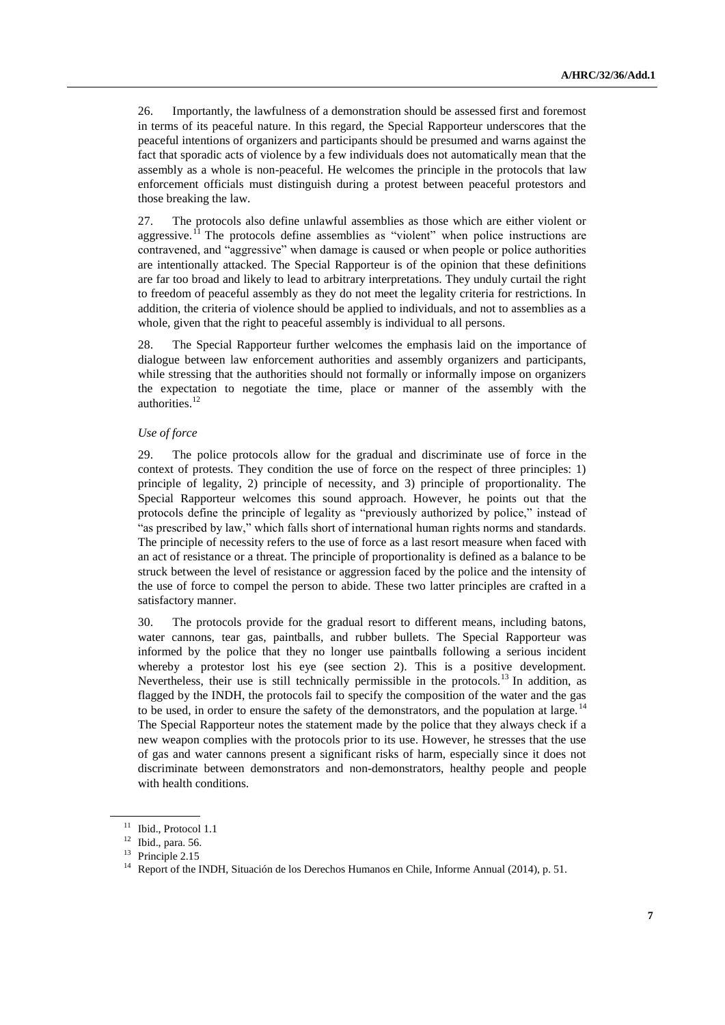26. Importantly, the lawfulness of a demonstration should be assessed first and foremost in terms of its peaceful nature. In this regard, the Special Rapporteur underscores that the peaceful intentions of organizers and participants should be presumed and warns against the fact that sporadic acts of violence by a few individuals does not automatically mean that the assembly as a whole is non-peaceful. He welcomes the principle in the protocols that law enforcement officials must distinguish during a protest between peaceful protestors and those breaking the law.

27. The protocols also define unlawful assemblies as those which are either violent or aggressive.<sup>11</sup> The protocols define assemblies as "violent" when police instructions are contravened, and "aggressive" when damage is caused or when people or police authorities are intentionally attacked. The Special Rapporteur is of the opinion that these definitions are far too broad and likely to lead to arbitrary interpretations. They unduly curtail the right to freedom of peaceful assembly as they do not meet the legality criteria for restrictions. In addition, the criteria of violence should be applied to individuals, and not to assemblies as a whole, given that the right to peaceful assembly is individual to all persons.

28. The Special Rapporteur further welcomes the emphasis laid on the importance of dialogue between law enforcement authorities and assembly organizers and participants, while stressing that the authorities should not formally or informally impose on organizers the expectation to negotiate the time, place or manner of the assembly with the authorities.<sup>12</sup>

#### *Use of force*

29. The police protocols allow for the gradual and discriminate use of force in the context of protests. They condition the use of force on the respect of three principles: 1) principle of legality, 2) principle of necessity, and 3) principle of proportionality. The Special Rapporteur welcomes this sound approach. However, he points out that the protocols define the principle of legality as "previously authorized by police," instead of "as prescribed by law," which falls short of international human rights norms and standards. The principle of necessity refers to the use of force as a last resort measure when faced with an act of resistance or a threat. The principle of proportionality is defined as a balance to be struck between the level of resistance or aggression faced by the police and the intensity of the use of force to compel the person to abide. These two latter principles are crafted in a satisfactory manner.

30. The protocols provide for the gradual resort to different means, including batons, water cannons, tear gas, paintballs, and rubber bullets. The Special Rapporteur was informed by the police that they no longer use paintballs following a serious incident whereby a protestor lost his eye (see section 2). This is a positive development. Nevertheless, their use is still technically permissible in the protocols.<sup>13</sup> In addition, as flagged by the INDH, the protocols fail to specify the composition of the water and the gas to be used, in order to ensure the safety of the demonstrators, and the population at large.<sup>1</sup> The Special Rapporteur notes the statement made by the police that they always check if a new weapon complies with the protocols prior to its use. However, he stresses that the use of gas and water cannons present a significant risks of harm, especially since it does not discriminate between demonstrators and non-demonstrators, healthy people and people with health conditions.

<sup>11</sup> Ibid., Protocol 1.1

<sup>12</sup> Ibid., para. 56.

<sup>&</sup>lt;sup>13</sup> Principle 2.15

<sup>14</sup> Report of the INDH, Situación de los Derechos Humanos en Chile, Informe Annual (2014), p. 51.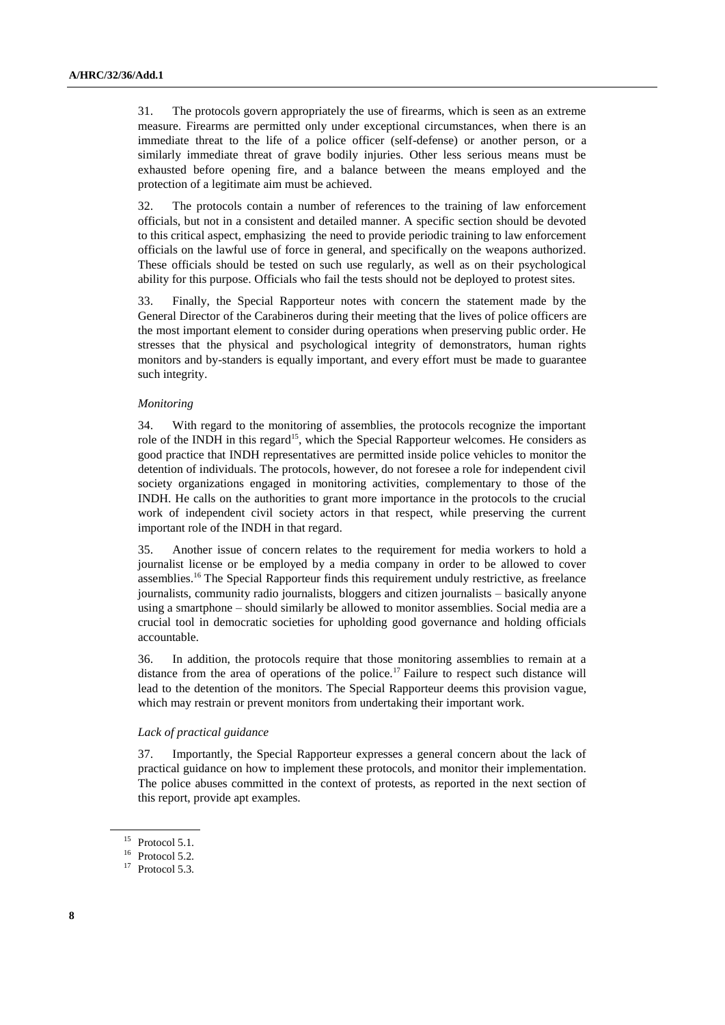31. The protocols govern appropriately the use of firearms, which is seen as an extreme measure. Firearms are permitted only under exceptional circumstances, when there is an immediate threat to the life of a police officer (self-defense) or another person, or a similarly immediate threat of grave bodily injuries. Other less serious means must be exhausted before opening fire, and a balance between the means employed and the protection of a legitimate aim must be achieved.

32. The protocols contain a number of references to the training of law enforcement officials, but not in a consistent and detailed manner. A specific section should be devoted to this critical aspect, emphasizing the need to provide periodic training to law enforcement officials on the lawful use of force in general, and specifically on the weapons authorized. These officials should be tested on such use regularly, as well as on their psychological ability for this purpose. Officials who fail the tests should not be deployed to protest sites.

33. Finally, the Special Rapporteur notes with concern the statement made by the General Director of the Carabineros during their meeting that the lives of police officers are the most important element to consider during operations when preserving public order. He stresses that the physical and psychological integrity of demonstrators, human rights monitors and by-standers is equally important, and every effort must be made to guarantee such integrity.

#### *Monitoring*

34. With regard to the monitoring of assemblies, the protocols recognize the important role of the INDH in this regard<sup>15</sup>, which the Special Rapporteur welcomes. He considers as good practice that INDH representatives are permitted inside police vehicles to monitor the detention of individuals. The protocols, however, do not foresee a role for independent civil society organizations engaged in monitoring activities, complementary to those of the INDH. He calls on the authorities to grant more importance in the protocols to the crucial work of independent civil society actors in that respect, while preserving the current important role of the INDH in that regard.

35. Another issue of concern relates to the requirement for media workers to hold a journalist license or be employed by a media company in order to be allowed to cover assemblies.<sup>16</sup> The Special Rapporteur finds this requirement unduly restrictive, as freelance journalists, community radio journalists, bloggers and citizen journalists – basically anyone using a smartphone – should similarly be allowed to monitor assemblies. Social media are a crucial tool in democratic societies for upholding good governance and holding officials accountable.

36. In addition, the protocols require that those monitoring assemblies to remain at a distance from the area of operations of the police.<sup>17</sup> Failure to respect such distance will lead to the detention of the monitors. The Special Rapporteur deems this provision vague, which may restrain or prevent monitors from undertaking their important work.

#### *Lack of practical guidance*

37. Importantly, the Special Rapporteur expresses a general concern about the lack of practical guidance on how to implement these protocols, and monitor their implementation. The police abuses committed in the context of protests, as reported in the next section of this report, provide apt examples.

<sup>&</sup>lt;sup>15</sup> Protocol 5.1.

<sup>&</sup>lt;sup>16</sup> Protocol 5.2.

 $17$  Protocol 5.3.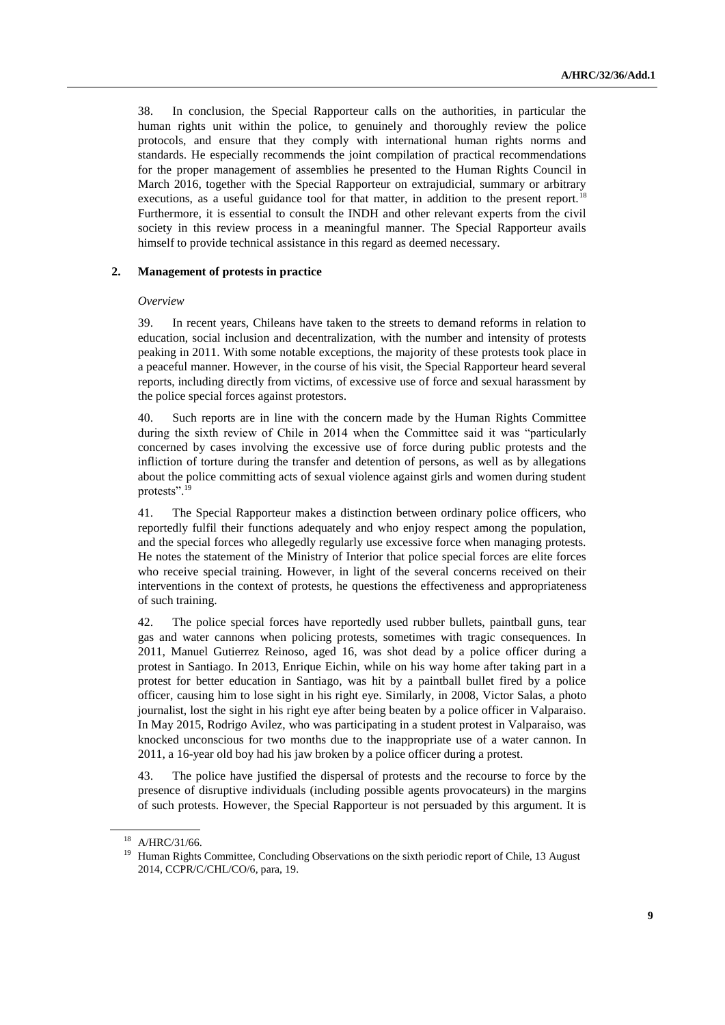38. In conclusion, the Special Rapporteur calls on the authorities, in particular the human rights unit within the police, to genuinely and thoroughly review the police protocols, and ensure that they comply with international human rights norms and standards. He especially recommends the joint compilation of practical recommendations for the proper management of assemblies he presented to the Human Rights Council in March 2016, together with the Special Rapporteur on extrajudicial, summary or arbitrary executions, as a useful guidance tool for that matter, in addition to the present report.<sup>18</sup> Furthermore, it is essential to consult the INDH and other relevant experts from the civil society in this review process in a meaningful manner. The Special Rapporteur avails himself to provide technical assistance in this regard as deemed necessary.

#### **2. Management of protests in practice**

#### *Overview*

39. In recent years, Chileans have taken to the streets to demand reforms in relation to education, social inclusion and decentralization, with the number and intensity of protests peaking in 2011. With some notable exceptions, the majority of these protests took place in a peaceful manner. However, in the course of his visit, the Special Rapporteur heard several reports, including directly from victims, of excessive use of force and sexual harassment by the police special forces against protestors.

40. Such reports are in line with the concern made by the Human Rights Committee during the sixth review of Chile in 2014 when the Committee said it was "particularly concerned by cases involving the excessive use of force during public protests and the infliction of torture during the transfer and detention of persons, as well as by allegations about the police committing acts of sexual violence against girls and women during student protests".<sup>19</sup>

41. The Special Rapporteur makes a distinction between ordinary police officers, who reportedly fulfil their functions adequately and who enjoy respect among the population, and the special forces who allegedly regularly use excessive force when managing protests. He notes the statement of the Ministry of Interior that police special forces are elite forces who receive special training. However, in light of the several concerns received on their interventions in the context of protests, he questions the effectiveness and appropriateness of such training.

42. The police special forces have reportedly used rubber bullets, paintball guns, tear gas and water cannons when policing protests, sometimes with tragic consequences. In 2011, Manuel Gutierrez Reinoso, aged 16, was shot dead by a police officer during a protest in Santiago. In 2013, Enrique Eichin, while on his way home after taking part in a protest for better education in Santiago, was hit by a paintball bullet fired by a police officer, causing him to lose sight in his right eye. Similarly, in 2008, Victor Salas, a photo journalist, lost the sight in his right eye after being beaten by a police officer in Valparaiso. In May 2015, Rodrigo Avilez, who was participating in a student protest in Valparaiso, was knocked unconscious for two months due to the inappropriate use of a water cannon. In 2011, a 16-year old boy had his jaw broken by a police officer during a protest.

43. The police have justified the dispersal of protests and the recourse to force by the presence of disruptive individuals (including possible agents provocateurs) in the margins of such protests. However, the Special Rapporteur is not persuaded by this argument. It is

<sup>18</sup> A/HRC/31/66.

<sup>&</sup>lt;sup>19</sup> Human Rights Committee, Concluding Observations on the sixth periodic report of Chile, 13 August 2014, CCPR/C/CHL/CO/6, para, 19.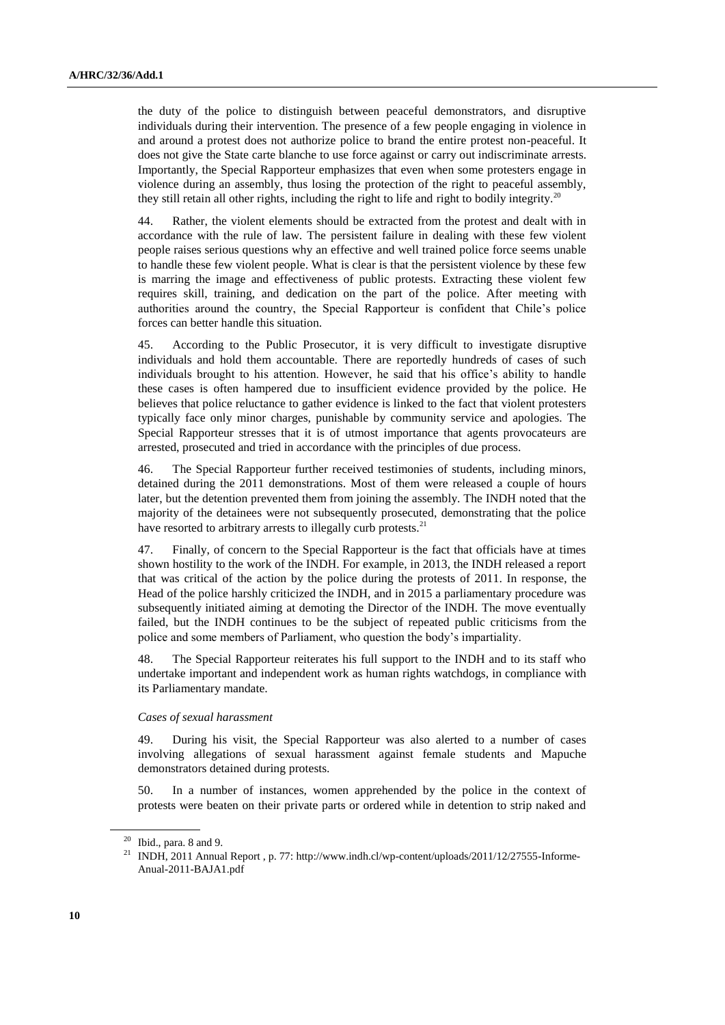the duty of the police to distinguish between peaceful demonstrators, and disruptive individuals during their intervention. The presence of a few people engaging in violence in and around a protest does not authorize police to brand the entire protest non-peaceful. It does not give the State carte blanche to use force against or carry out indiscriminate arrests. Importantly, the Special Rapporteur emphasizes that even when some protesters engage in violence during an assembly, thus losing the protection of the right to peaceful assembly, they still retain all other rights, including the right to life and right to bodily integrity.<sup>20</sup>

44. Rather, the violent elements should be extracted from the protest and dealt with in accordance with the rule of law. The persistent failure in dealing with these few violent people raises serious questions why an effective and well trained police force seems unable to handle these few violent people. What is clear is that the persistent violence by these few is marring the image and effectiveness of public protests. Extracting these violent few requires skill, training, and dedication on the part of the police. After meeting with authorities around the country, the Special Rapporteur is confident that Chile's police forces can better handle this situation.

45. According to the Public Prosecutor, it is very difficult to investigate disruptive individuals and hold them accountable. There are reportedly hundreds of cases of such individuals brought to his attention. However, he said that his office's ability to handle these cases is often hampered due to insufficient evidence provided by the police. He believes that police reluctance to gather evidence is linked to the fact that violent protesters typically face only minor charges, punishable by community service and apologies. The Special Rapporteur stresses that it is of utmost importance that agents provocateurs are arrested, prosecuted and tried in accordance with the principles of due process.

46. The Special Rapporteur further received testimonies of students, including minors, detained during the 2011 demonstrations. Most of them were released a couple of hours later, but the detention prevented them from joining the assembly. The INDH noted that the majority of the detainees were not subsequently prosecuted, demonstrating that the police have resorted to arbitrary arrests to illegally curb protests. $^{21}$ 

47. Finally, of concern to the Special Rapporteur is the fact that officials have at times shown hostility to the work of the INDH. For example, in 2013, the INDH released a report that was critical of the action by the police during the protests of 2011. In response, the Head of the police harshly criticized the INDH, and in 2015 a parliamentary procedure was subsequently initiated aiming at demoting the Director of the INDH. The move eventually failed, but the INDH continues to be the subject of repeated public criticisms from the police and some members of Parliament, who question the body's impartiality.

48. The Special Rapporteur reiterates his full support to the INDH and to its staff who undertake important and independent work as human rights watchdogs, in compliance with its Parliamentary mandate.

#### *Cases of sexual harassment*

49. During his visit, the Special Rapporteur was also alerted to a number of cases involving allegations of sexual harassment against female students and Mapuche demonstrators detained during protests.

50. In a number of instances, women apprehended by the police in the context of protests were beaten on their private parts or ordered while in detention to strip naked and

 $20$  Ibid., para. 8 and 9.

<sup>&</sup>lt;sup>21</sup> INDH, 2011 Annual Report , p. 77: [http://www.indh.cl/wp-content/uploads/2011/12/27555-Informe-](http://www.indh.cl/wp-content/uploads/2011/12/27555-Informe-Anual-2011-BAJA1.pdf)[Anual-2011-BAJA1.pdf](http://www.indh.cl/wp-content/uploads/2011/12/27555-Informe-Anual-2011-BAJA1.pdf)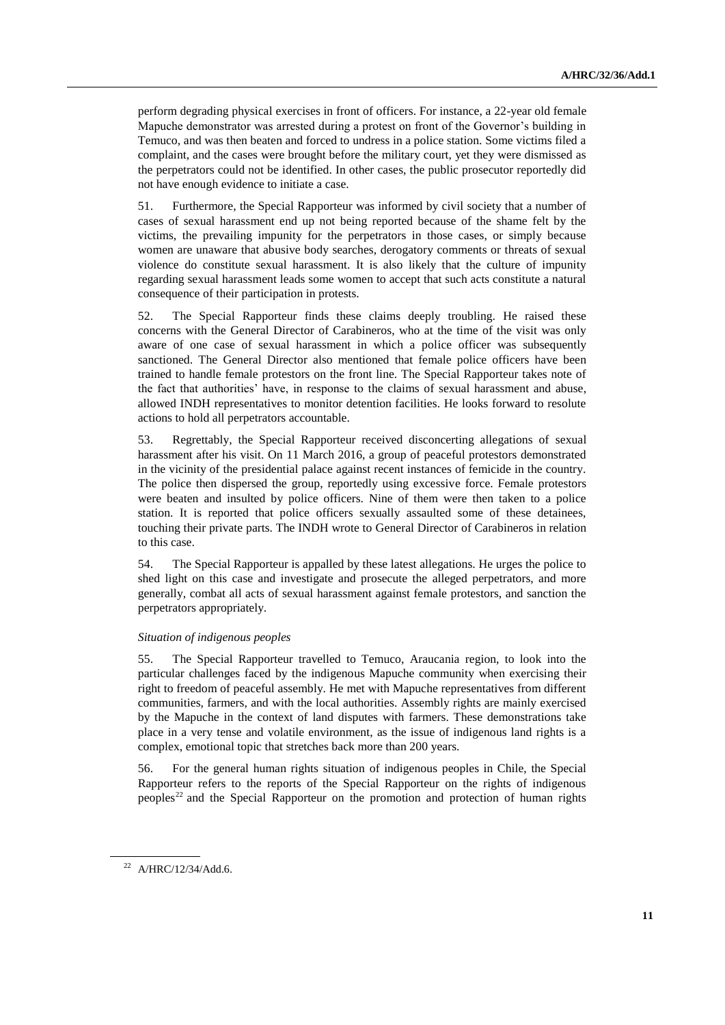perform degrading physical exercises in front of officers. For instance, a 22-year old female Mapuche demonstrator was arrested during a protest on front of the Governor's building in Temuco, and was then beaten and forced to undress in a police station. Some victims filed a complaint, and the cases were brought before the military court, yet they were dismissed as the perpetrators could not be identified. In other cases, the public prosecutor reportedly did not have enough evidence to initiate a case.

51. Furthermore, the Special Rapporteur was informed by civil society that a number of cases of sexual harassment end up not being reported because of the shame felt by the victims, the prevailing impunity for the perpetrators in those cases, or simply because women are unaware that abusive body searches, derogatory comments or threats of sexual violence do constitute sexual harassment. It is also likely that the culture of impunity regarding sexual harassment leads some women to accept that such acts constitute a natural consequence of their participation in protests.

52. The Special Rapporteur finds these claims deeply troubling. He raised these concerns with the General Director of Carabineros, who at the time of the visit was only aware of one case of sexual harassment in which a police officer was subsequently sanctioned. The General Director also mentioned that female police officers have been trained to handle female protestors on the front line. The Special Rapporteur takes note of the fact that authorities' have, in response to the claims of sexual harassment and abuse, allowed INDH representatives to monitor detention facilities. He looks forward to resolute actions to hold all perpetrators accountable.

53. Regrettably, the Special Rapporteur received disconcerting allegations of sexual harassment after his visit. On 11 March 2016, a group of peaceful protestors demonstrated in the vicinity of the presidential palace against recent instances of femicide in the country. The police then dispersed the group, reportedly using excessive force. Female protestors were beaten and insulted by police officers. Nine of them were then taken to a police station. It is reported that police officers sexually assaulted some of these detainees, touching their private parts. The INDH wrote to General Director of Carabineros in relation to this case.

54. The Special Rapporteur is appalled by these latest allegations. He urges the police to shed light on this case and investigate and prosecute the alleged perpetrators, and more generally, combat all acts of sexual harassment against female protestors, and sanction the perpetrators appropriately.

#### *Situation of indigenous peoples*

55. The Special Rapporteur travelled to Temuco, Araucania region, to look into the particular challenges faced by the indigenous Mapuche community when exercising their right to freedom of peaceful assembly. He met with Mapuche representatives from different communities, farmers, and with the local authorities. Assembly rights are mainly exercised by the Mapuche in the context of land disputes with farmers. These demonstrations take place in a very tense and volatile environment, as the issue of indigenous land rights is a complex, emotional topic that stretches back more than 200 years.

56. For the general human rights situation of indigenous peoples in Chile, the Special Rapporteur refers to the reports of the Special Rapporteur on the rights of indigenous peoples<sup>22</sup> and the Special Rapporteur on the promotion and protection of human rights

<sup>22</sup> A/HRC/12/34/Add.6.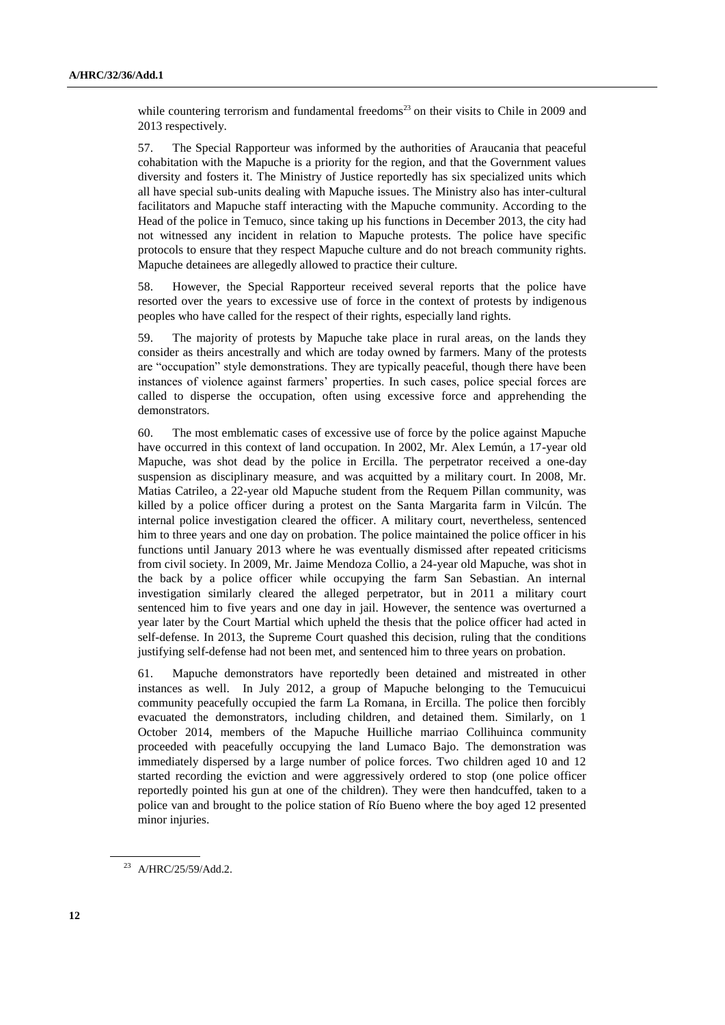while countering terrorism and fundamental freedoms<sup>23</sup> on their visits to Chile in 2009 and 2013 respectively.

57. The Special Rapporteur was informed by the authorities of Araucania that peaceful cohabitation with the Mapuche is a priority for the region, and that the Government values diversity and fosters it. The Ministry of Justice reportedly has six specialized units which all have special sub-units dealing with Mapuche issues. The Ministry also has inter-cultural facilitators and Mapuche staff interacting with the Mapuche community. According to the Head of the police in Temuco, since taking up his functions in December 2013, the city had not witnessed any incident in relation to Mapuche protests. The police have specific protocols to ensure that they respect Mapuche culture and do not breach community rights. Mapuche detainees are allegedly allowed to practice their culture.

58. However, the Special Rapporteur received several reports that the police have resorted over the years to excessive use of force in the context of protests by indigenous peoples who have called for the respect of their rights, especially land rights.

59. The majority of protests by Mapuche take place in rural areas, on the lands they consider as theirs ancestrally and which are today owned by farmers. Many of the protests are "occupation" style demonstrations. They are typically peaceful, though there have been instances of violence against farmers' properties. In such cases, police special forces are called to disperse the occupation, often using excessive force and apprehending the demonstrators.

60. The most emblematic cases of excessive use of force by the police against Mapuche have occurred in this context of land occupation. In 2002, Mr. Alex Lemún, a 17-year old Mapuche, was shot dead by the police in Ercilla. The perpetrator received a one-day suspension as disciplinary measure, and was acquitted by a military court. In 2008, Mr. Matias Catrileo, a 22-year old Mapuche student from the Requem Pillan community, was killed by a police officer during a protest on the Santa Margarita farm in Vilcún. The internal police investigation cleared the officer. A military court, nevertheless, sentenced him to three years and one day on probation. The police maintained the police officer in his functions until January 2013 where he was eventually dismissed after repeated criticisms from civil society. In 2009, Mr. Jaime Mendoza Collio, a 24-year old Mapuche, was shot in the back by a police officer while occupying the farm San Sebastian. An internal investigation similarly cleared the alleged perpetrator, but in 2011 a military court sentenced him to five years and one day in jail. However, the sentence was overturned a year later by the Court Martial which upheld the thesis that the police officer had acted in self-defense. In 2013, the Supreme Court quashed this decision, ruling that the conditions justifying self-defense had not been met, and sentenced him to three years on probation.

61. Mapuche demonstrators have reportedly been detained and mistreated in other instances as well. In July 2012, a group of Mapuche belonging to the Temucuicui community peacefully occupied the farm La Romana, in Ercilla. The police then forcibly evacuated the demonstrators, including children, and detained them. Similarly, on 1 October 2014, members of the Mapuche Huilliche marriao Collihuinca community proceeded with peacefully occupying the land Lumaco Bajo. The demonstration was immediately dispersed by a large number of police forces. Two children aged 10 and 12 started recording the eviction and were aggressively ordered to stop (one police officer reportedly pointed his gun at one of the children). They were then handcuffed, taken to a police van and brought to the police station of Río Bueno where the boy aged 12 presented minor injuries.

<sup>23</sup> A/HRC/25/59/Add.2.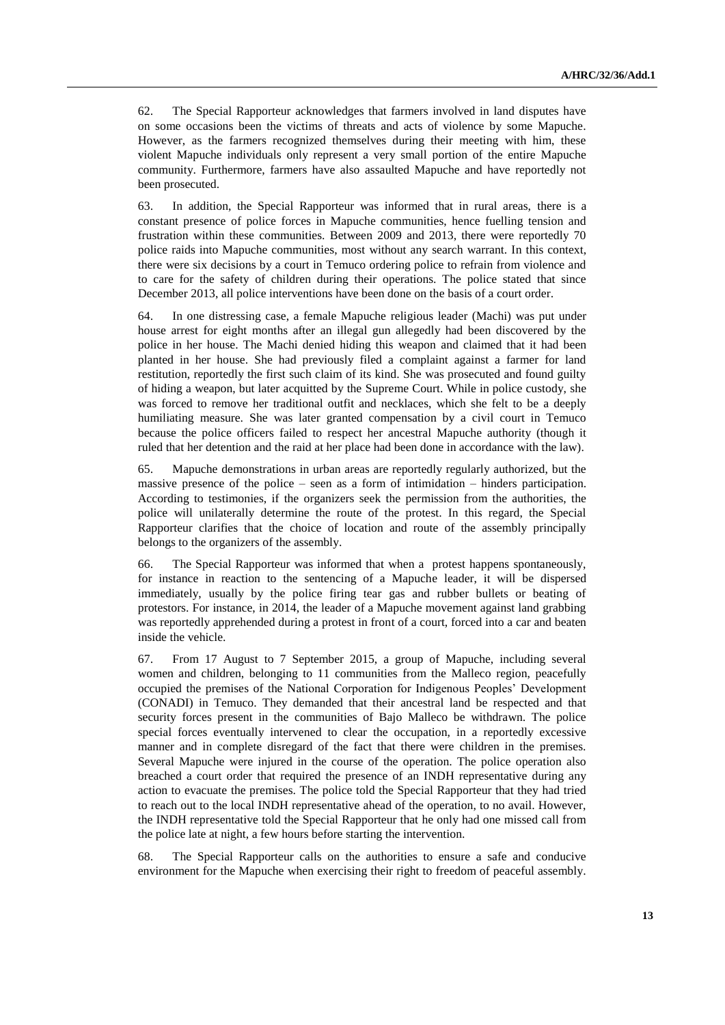62. The Special Rapporteur acknowledges that farmers involved in land disputes have on some occasions been the victims of threats and acts of violence by some Mapuche. However, as the farmers recognized themselves during their meeting with him, these violent Mapuche individuals only represent a very small portion of the entire Mapuche community. Furthermore, farmers have also assaulted Mapuche and have reportedly not been prosecuted.

63. In addition, the Special Rapporteur was informed that in rural areas, there is a constant presence of police forces in Mapuche communities, hence fuelling tension and frustration within these communities. Between 2009 and 2013, there were reportedly 70 police raids into Mapuche communities, most without any search warrant. In this context, there were six decisions by a court in Temuco ordering police to refrain from violence and to care for the safety of children during their operations. The police stated that since December 2013, all police interventions have been done on the basis of a court order.

64. In one distressing case, a female Mapuche religious leader (Machi) was put under house arrest for eight months after an illegal gun allegedly had been discovered by the police in her house. The Machi denied hiding this weapon and claimed that it had been planted in her house. She had previously filed a complaint against a farmer for land restitution, reportedly the first such claim of its kind. She was prosecuted and found guilty of hiding a weapon, but later acquitted by the Supreme Court. While in police custody, she was forced to remove her traditional outfit and necklaces, which she felt to be a deeply humiliating measure. She was later granted compensation by a civil court in Temuco because the police officers failed to respect her ancestral Mapuche authority (though it ruled that her detention and the raid at her place had been done in accordance with the law).

65. Mapuche demonstrations in urban areas are reportedly regularly authorized, but the massive presence of the police – seen as a form of intimidation – hinders participation. According to testimonies, if the organizers seek the permission from the authorities, the police will unilaterally determine the route of the protest. In this regard, the Special Rapporteur clarifies that the choice of location and route of the assembly principally belongs to the organizers of the assembly.

66. The Special Rapporteur was informed that when a protest happens spontaneously, for instance in reaction to the sentencing of a Mapuche leader, it will be dispersed immediately, usually by the police firing tear gas and rubber bullets or beating of protestors. For instance, in 2014, the leader of a Mapuche movement against land grabbing was reportedly apprehended during a protest in front of a court, forced into a car and beaten inside the vehicle.

67. From 17 August to 7 September 2015, a group of Mapuche, including several women and children, belonging to 11 communities from the Malleco region, peacefully occupied the premises of the National Corporation for Indigenous Peoples' Development (CONADI) in Temuco. They demanded that their ancestral land be respected and that security forces present in the communities of Bajo Malleco be withdrawn. The police special forces eventually intervened to clear the occupation, in a reportedly excessive manner and in complete disregard of the fact that there were children in the premises. Several Mapuche were injured in the course of the operation. The police operation also breached a court order that required the presence of an INDH representative during any action to evacuate the premises. The police told the Special Rapporteur that they had tried to reach out to the local INDH representative ahead of the operation, to no avail. However, the INDH representative told the Special Rapporteur that he only had one missed call from the police late at night, a few hours before starting the intervention.

68. The Special Rapporteur calls on the authorities to ensure a safe and conducive environment for the Mapuche when exercising their right to freedom of peaceful assembly.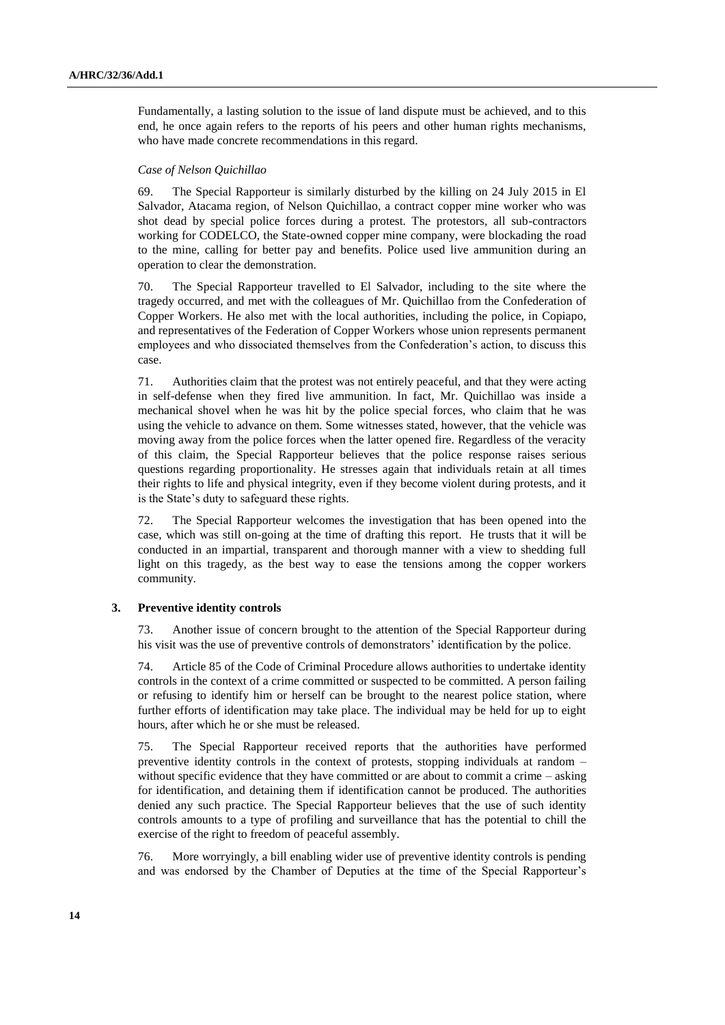Fundamentally, a lasting solution to the issue of land dispute must be achieved, and to this end, he once again refers to the reports of his peers and other human rights mechanisms, who have made concrete recommendations in this regard.

#### *Case of Nelson Quichillao*

69. The Special Rapporteur is similarly disturbed by the killing on 24 July 2015 in El Salvador, Atacama region, of Nelson Quichillao, a contract copper mine worker who was shot dead by special police forces during a protest. The protestors, all sub-contractors working for CODELCO, the State-owned copper mine company, were blockading the road to the mine, calling for better pay and benefits. Police used live ammunition during an operation to clear the demonstration.

70. The Special Rapporteur travelled to El Salvador, including to the site where the tragedy occurred, and met with the colleagues of Mr. Quichillao from the Confederation of Copper Workers. He also met with the local authorities, including the police, in Copiapo, and representatives of the Federation of Copper Workers whose union represents permanent employees and who dissociated themselves from the Confederation's action, to discuss this case.

71. Authorities claim that the protest was not entirely peaceful, and that they were acting in self-defense when they fired live ammunition. In fact, Mr. Quichillao was inside a mechanical shovel when he was hit by the police special forces, who claim that he was using the vehicle to advance on them. Some witnesses stated, however, that the vehicle was moving away from the police forces when the latter opened fire. Regardless of the veracity of this claim, the Special Rapporteur believes that the police response raises serious questions regarding proportionality. He stresses again that individuals retain at all times their rights to life and physical integrity, even if they become violent during protests, and it is the State's duty to safeguard these rights.

72. The Special Rapporteur welcomes the investigation that has been opened into the case, which was still on-going at the time of drafting this report. He trusts that it will be conducted in an impartial, transparent and thorough manner with a view to shedding full light on this tragedy, as the best way to ease the tensions among the copper workers community.

#### **3. Preventive identity controls**

73. Another issue of concern brought to the attention of the Special Rapporteur during his visit was the use of preventive controls of demonstrators' identification by the police.

74. Article 85 of the Code of Criminal Procedure allows authorities to undertake identity controls in the context of a crime committed or suspected to be committed. A person failing or refusing to identify him or herself can be brought to the nearest police station, where further efforts of identification may take place. The individual may be held for up to eight hours, after which he or she must be released.

75. The Special Rapporteur received reports that the authorities have performed preventive identity controls in the context of protests, stopping individuals at random – without specific evidence that they have committed or are about to commit a crime – asking for identification, and detaining them if identification cannot be produced. The authorities denied any such practice. The Special Rapporteur believes that the use of such identity controls amounts to a type of profiling and surveillance that has the potential to chill the exercise of the right to freedom of peaceful assembly.

76. More worryingly, a bill enabling wider use of preventive identity controls is pending and was endorsed by the Chamber of Deputies at the time of the Special Rapporteur's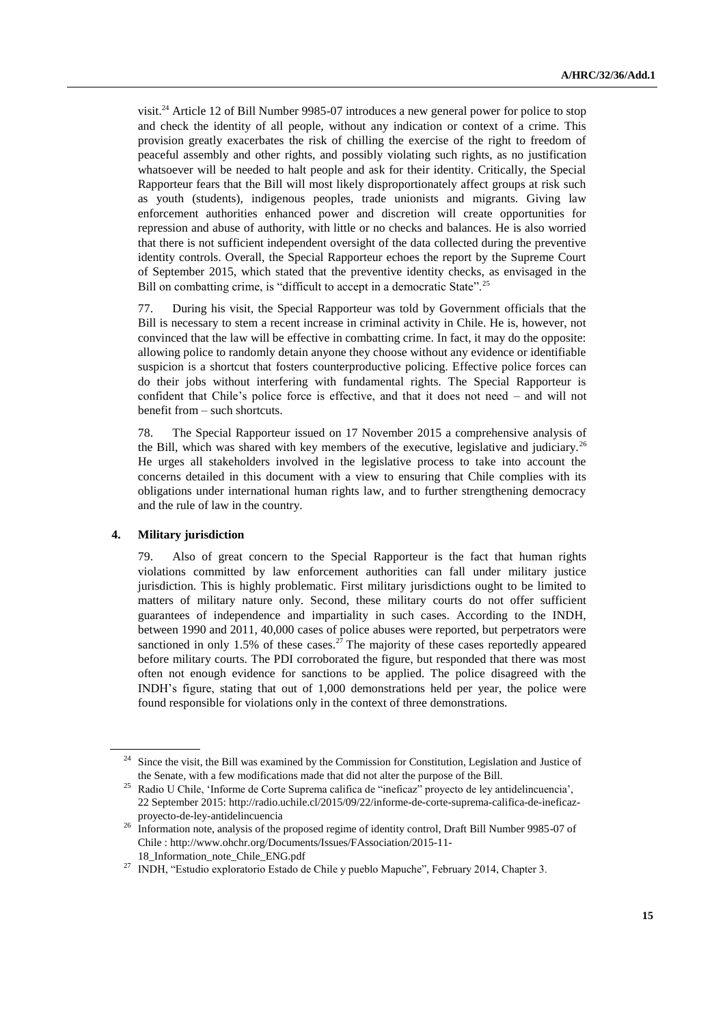visit.<sup>24</sup> Article 12 of Bill Number 9985-07 introduces a new general power for police to stop and check the identity of all people, without any indication or context of a crime. This provision greatly exacerbates the risk of chilling the exercise of the right to freedom of peaceful assembly and other rights, and possibly violating such rights, as no justification whatsoever will be needed to halt people and ask for their identity. Critically, the Special Rapporteur fears that the Bill will most likely disproportionately affect groups at risk such as youth (students), indigenous peoples, trade unionists and migrants. Giving law enforcement authorities enhanced power and discretion will create opportunities for repression and abuse of authority, with little or no checks and balances. He is also worried that there is not sufficient independent oversight of the data collected during the preventive identity controls. Overall, the Special Rapporteur echoes the report by the Supreme Court of September 2015, which stated that the preventive identity checks, as envisaged in the Bill on combatting crime, is "difficult to accept in a democratic State".<sup>25</sup>

77. During his visit, the Special Rapporteur was told by Government officials that the Bill is necessary to stem a recent increase in criminal activity in Chile. He is, however, not convinced that the law will be effective in combatting crime. In fact, it may do the opposite: allowing police to randomly detain anyone they choose without any evidence or identifiable suspicion is a shortcut that fosters counterproductive policing. Effective police forces can do their jobs without interfering with fundamental rights. The Special Rapporteur is confident that Chile's police force is effective, and that it does not need – and will not benefit from – such shortcuts.

78. The Special Rapporteur issued on 17 November 2015 a comprehensive analysis of the Bill, which was shared with key members of the executive, legislative and judiciary.<sup>26</sup> He urges all stakeholders involved in the legislative process to take into account the concerns detailed in this document with a view to ensuring that Chile complies with its obligations under international human rights law, and to further strengthening democracy and the rule of law in the country.

#### **4. Military jurisdiction**

79. Also of great concern to the Special Rapporteur is the fact that human rights violations committed by law enforcement authorities can fall under military justice jurisdiction. This is highly problematic. First military jurisdictions ought to be limited to matters of military nature only. Second, these military courts do not offer sufficient guarantees of independence and impartiality in such cases. According to the INDH, between 1990 and 2011, 40,000 cases of police abuses were reported, but perpetrators were sanctioned in only 1.5% of these cases.<sup>27</sup> The majority of these cases reportedly appeared before military courts. The PDI corroborated the figure, but responded that there was most often not enough evidence for sanctions to be applied. The police disagreed with the INDH's figure, stating that out of 1,000 demonstrations held per year, the police were found responsible for violations only in the context of three demonstrations.

<sup>&</sup>lt;sup>24</sup> Since the visit, the Bill was examined by the Commission for Constitution, Legislation and Justice of the Senate, with a few modifications made that did not alter the purpose of the Bill.

<sup>25</sup> Radio U Chile, 'Informe de Corte Suprema califica de "ineficaz" proyecto de ley antidelincuencia', 22 September 2015: [http://radio.uchile.cl/2015/09/22/informe-de-corte-suprema-califica-de-ineficaz](http://radio.uchile.cl/2015/09/22/informe-de-corte-suprema-califica-de-ineficaz-proyecto-de-ley-antidelincuencia)[proyecto-de-ley-antidelincuencia](http://radio.uchile.cl/2015/09/22/informe-de-corte-suprema-califica-de-ineficaz-proyecto-de-ley-antidelincuencia)

<sup>&</sup>lt;sup>26</sup> Information note, analysis of the proposed regime of identity control, Draft Bill Number 9985-07 of Chile : [http://www.ohchr.org/Documents/Issues/FAssociation/2015-11-](http://www.ohchr.org/Documents/Issues/FAssociation/2015-11-18_Information_note_Chile_ENG.pdf) [18\\_Information\\_note\\_Chile\\_ENG.pdf](http://www.ohchr.org/Documents/Issues/FAssociation/2015-11-18_Information_note_Chile_ENG.pdf)

<sup>27</sup> INDH, "Estudio exploratorio Estado de Chile y pueblo Mapuche", February 2014, Chapter 3.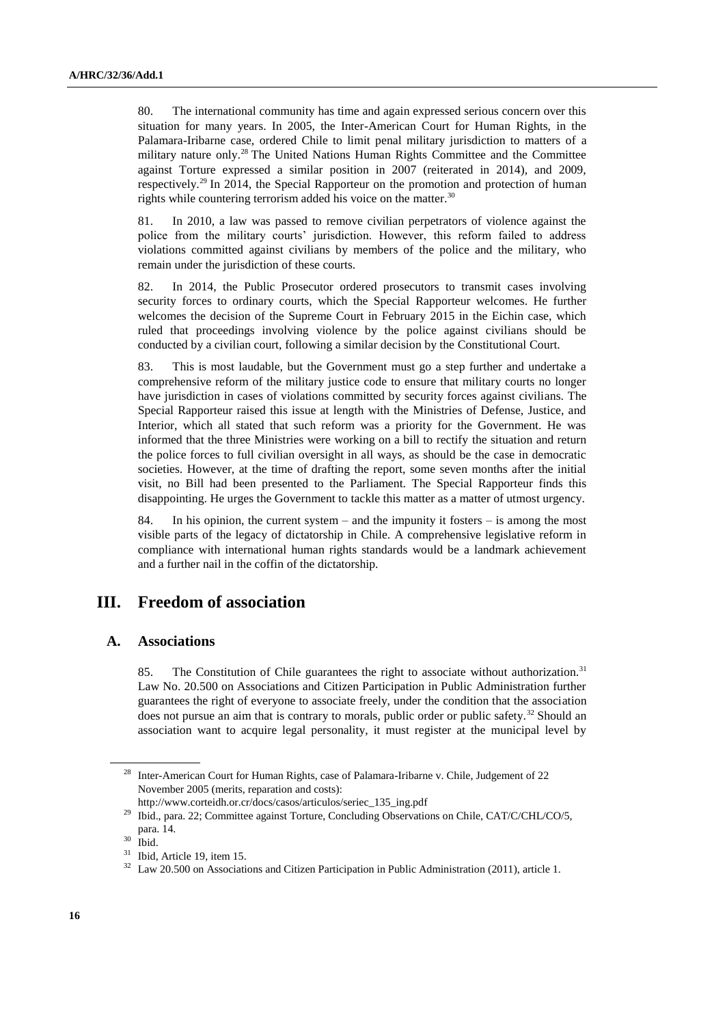80. The international community has time and again expressed serious concern over this situation for many years. In 2005, the Inter-American Court for Human Rights, in the Palamara-Iribarne case, ordered Chile to limit penal military jurisdiction to matters of a military nature only.<sup>28</sup> The United Nations Human Rights Committee and the Committee against Torture expressed a similar position in 2007 (reiterated in 2014), and 2009, respectively.<sup>29</sup> In 2014, the Special Rapporteur on the promotion and protection of human rights while countering terrorism added his voice on the matter. $30$ 

81. In 2010, a law was passed to remove civilian perpetrators of violence against the police from the military courts' jurisdiction. However, this reform failed to address violations committed against civilians by members of the police and the military, who remain under the jurisdiction of these courts.

82. In 2014, the Public Prosecutor ordered prosecutors to transmit cases involving security forces to ordinary courts, which the Special Rapporteur welcomes. He further welcomes the decision of the Supreme Court in February 2015 in the Eichin case, which ruled that proceedings involving violence by the police against civilians should be conducted by a civilian court, following a similar decision by the Constitutional Court.

83. This is most laudable, but the Government must go a step further and undertake a comprehensive reform of the military justice code to ensure that military courts no longer have jurisdiction in cases of violations committed by security forces against civilians. The Special Rapporteur raised this issue at length with the Ministries of Defense, Justice, and Interior, which all stated that such reform was a priority for the Government. He was informed that the three Ministries were working on a bill to rectify the situation and return the police forces to full civilian oversight in all ways, as should be the case in democratic societies. However, at the time of drafting the report, some seven months after the initial visit, no Bill had been presented to the Parliament. The Special Rapporteur finds this disappointing. He urges the Government to tackle this matter as a matter of utmost urgency.

84. In his opinion, the current system – and the impunity it fosters – is among the most visible parts of the legacy of dictatorship in Chile. A comprehensive legislative reform in compliance with international human rights standards would be a landmark achievement and a further nail in the coffin of the dictatorship.

### **III. Freedom of association**

#### **A. Associations**

85. The Constitution of Chile guarantees the right to associate without authorization.<sup>31</sup> Law No. 20.500 on Associations and Citizen Participation in Public Administration further guarantees the right of everyone to associate freely, under the condition that the association does not pursue an aim that is contrary to morals, public order or public safety.<sup>32</sup> Should an association want to acquire legal personality, it must register at the municipal level by

<sup>&</sup>lt;sup>28</sup> Inter-American Court for Human Rights, case of Palamara-Iribarne v. Chile, Judgement of 22 November 2005 (merits, reparation and costs):

[http://www.corteidh.or.cr/docs/casos/articulos/seriec\\_135\\_ing.pdf](http://www.corteidh.or.cr/docs/casos/articulos/seriec_135_ing.pdf)

<sup>&</sup>lt;sup>29</sup> Ibid., para. 22; Committee against Torture, Concluding Observations on Chile, CAT/C/CHL/CO/5, para. 14.

 $30$  Ibid.

<sup>31</sup> Ibid, Article 19, item 15.

Law 20.500 on Associations and Citizen Participation in Public Administration (2011), article 1.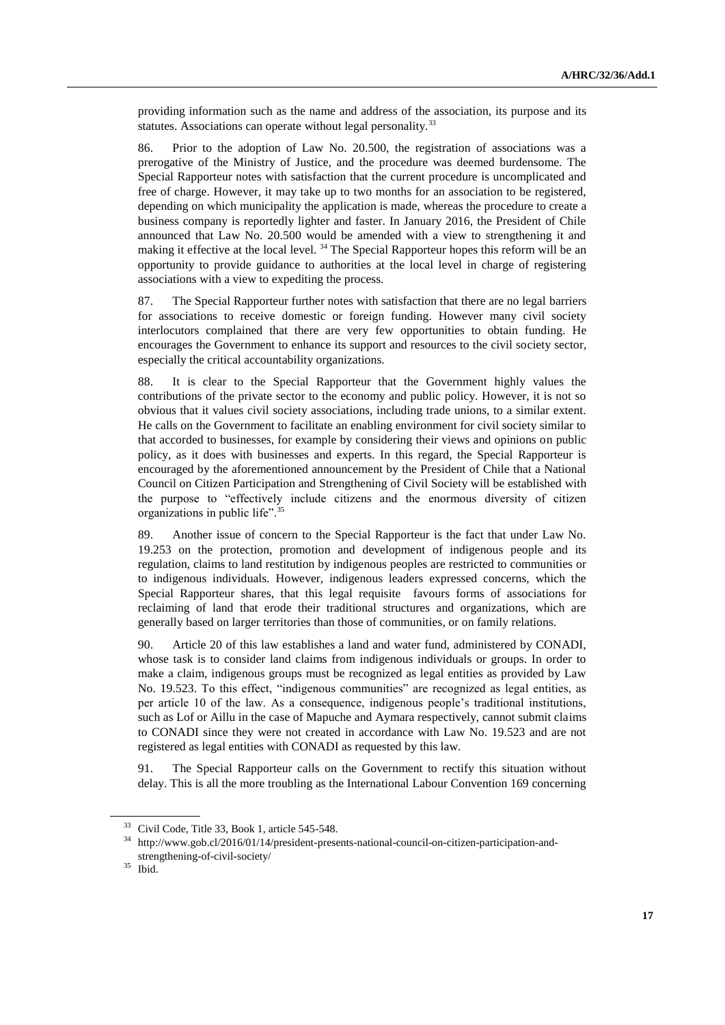providing information such as the name and address of the association, its purpose and its statutes. Associations can operate without legal personality.<sup>33</sup>

86. Prior to the adoption of Law No. 20.500, the registration of associations was a prerogative of the Ministry of Justice, and the procedure was deemed burdensome. The Special Rapporteur notes with satisfaction that the current procedure is uncomplicated and free of charge. However, it may take up to two months for an association to be registered, depending on which municipality the application is made, whereas the procedure to create a business company is reportedly lighter and faster. In January 2016, the President of Chile announced that Law No. 20.500 would be amended with a view to strengthening it and making it effective at the local level. <sup>34</sup> The Special Rapporteur hopes this reform will be an opportunity to provide guidance to authorities at the local level in charge of registering associations with a view to expediting the process.

87. The Special Rapporteur further notes with satisfaction that there are no legal barriers for associations to receive domestic or foreign funding. However many civil society interlocutors complained that there are very few opportunities to obtain funding. He encourages the Government to enhance its support and resources to the civil society sector, especially the critical accountability organizations.

88. It is clear to the Special Rapporteur that the Government highly values the contributions of the private sector to the economy and public policy. However, it is not so obvious that it values civil society associations, including trade unions, to a similar extent. He calls on the Government to facilitate an enabling environment for civil society similar to that accorded to businesses, for example by considering their views and opinions on public policy, as it does with businesses and experts. In this regard, the Special Rapporteur is encouraged by the aforementioned announcement by the President of Chile that a National Council on Citizen Participation and Strengthening of Civil Society will be established with the purpose to "effectively include citizens and the enormous diversity of citizen organizations in public life".<sup>35</sup>

89. Another issue of concern to the Special Rapporteur is the fact that under Law No. 19.253 on the protection, promotion and development of indigenous people and its regulation, claims to land restitution by indigenous peoples are restricted to communities or to indigenous individuals. However, indigenous leaders expressed concerns, which the Special Rapporteur shares, that this legal requisite favours forms of associations for reclaiming of land that erode their traditional structures and organizations, which are generally based on larger territories than those of communities, or on family relations.

90. Article 20 of this law establishes a land and water fund, administered by CONADI, whose task is to consider land claims from indigenous individuals or groups. In order to make a claim, indigenous groups must be recognized as legal entities as provided by Law No. 19.523. To this effect, "indigenous communities" are recognized as legal entities, as per article 10 of the law. As a consequence, indigenous people's traditional institutions, such as Lof or Aillu in the case of Mapuche and Aymara respectively, cannot submit claims to CONADI since they were not created in accordance with Law No. 19.523 and are not registered as legal entities with CONADI as requested by this law.

91. The Special Rapporteur calls on the Government to rectify this situation without delay. This is all the more troubling as the International Labour Convention 169 concerning

<sup>33</sup> Civil Code, Title 33, Book 1, article 545-548.

[http://www.gob.cl/2016/01/14/president-presents-national-council-on-citizen-participation-and](http://www.gob.cl/2016/01/14/president-presents-national-council-on-citizen-participation-and-strengthening-of-civil-society/)[strengthening-of-civil-society/](http://www.gob.cl/2016/01/14/president-presents-national-council-on-citizen-participation-and-strengthening-of-civil-society/)

<sup>35</sup> Ibid.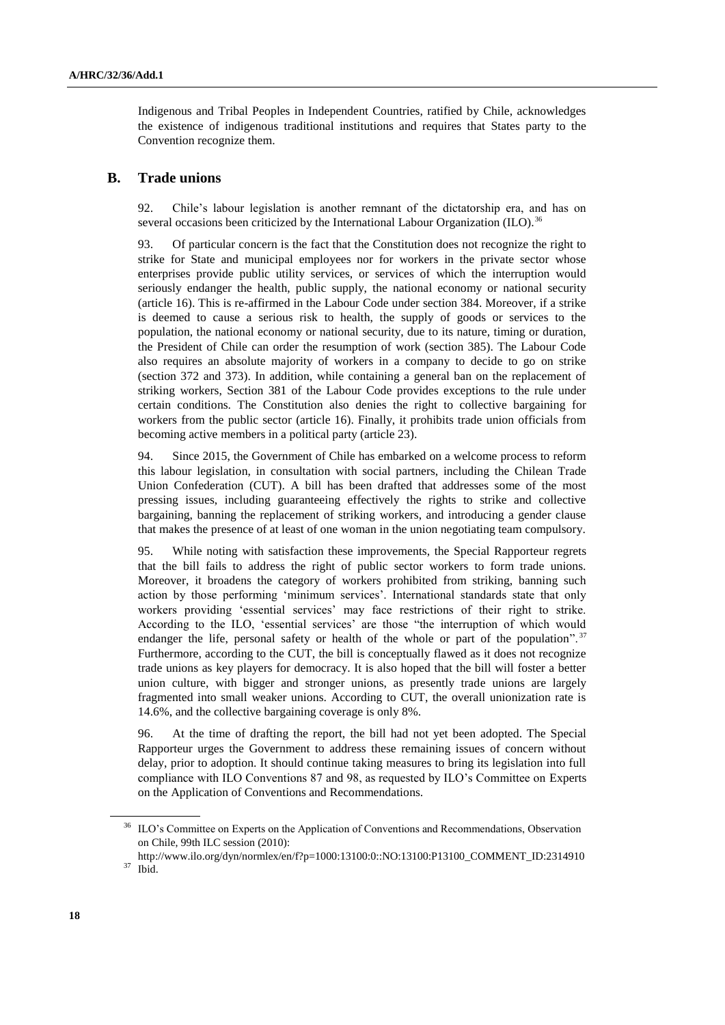Indigenous and Tribal Peoples in Independent Countries, ratified by Chile, acknowledges the existence of indigenous traditional institutions and requires that States party to the Convention recognize them.

### **B. Trade unions**

92. Chile's labour legislation is another remnant of the dictatorship era, and has on several occasions been criticized by the International Labour Organization (ILO).<sup>36</sup>

93. Of particular concern is the fact that the Constitution does not recognize the right to strike for State and municipal employees nor for workers in the private sector whose enterprises provide public utility services, or services of which the interruption would seriously endanger the health, public supply, the national economy or national security (article 16). This is re-affirmed in the Labour Code under section 384. Moreover, if a strike is deemed to cause a serious risk to health, the supply of goods or services to the population, the national economy or national security, due to its nature, timing or duration, the President of Chile can order the resumption of work (section 385). The Labour Code also requires an absolute majority of workers in a company to decide to go on strike (section 372 and 373). In addition, while containing a general ban on the replacement of striking workers, Section 381 of the Labour Code provides exceptions to the rule under certain conditions. The Constitution also denies the right to collective bargaining for workers from the public sector (article 16). Finally, it prohibits trade union officials from becoming active members in a political party (article 23).

94. Since 2015, the Government of Chile has embarked on a welcome process to reform this labour legislation, in consultation with social partners, including the Chilean Trade Union Confederation (CUT). A bill has been drafted that addresses some of the most pressing issues, including guaranteeing effectively the rights to strike and collective bargaining, banning the replacement of striking workers, and introducing a gender clause that makes the presence of at least of one woman in the union negotiating team compulsory.

95. While noting with satisfaction these improvements, the Special Rapporteur regrets that the bill fails to address the right of public sector workers to form trade unions. Moreover, it broadens the category of workers prohibited from striking, banning such action by those performing 'minimum services'. International standards state that only workers providing 'essential services' may face restrictions of their right to strike. According to the ILO, 'essential services' are those "the interruption of which would endanger the life, personal safety or health of the whole or part of the population".<sup>37</sup> Furthermore, according to the CUT, the bill is conceptually flawed as it does not recognize trade unions as key players for democracy. It is also hoped that the bill will foster a better union culture, with bigger and stronger unions, as presently trade unions are largely fragmented into small weaker unions. According to CUT, the overall unionization rate is 14.6%, and the collective bargaining coverage is only 8%.

96. At the time of drafting the report, the bill had not yet been adopted. The Special Rapporteur urges the Government to address these remaining issues of concern without delay, prior to adoption. It should continue taking measures to bring its legislation into full compliance with ILO Conventions 87 and 98, as requested by ILO's Committee on Experts on the Application of Conventions and Recommendations.

ILO's Committee on Experts on the Application of Conventions and Recommendations, Observation on Chile, 99th ILC session (2010):

[http://www.ilo.org/dyn/normlex/en/f?p=1000:13100:0::NO:13100:P13100\\_COMMENT\\_ID:2314910](http://www.ilo.org/dyn/normlex/en/f?p=1000:13100:0::NO:13100:P13100_COMMENT_ID:2314910)  $37$  Ibid.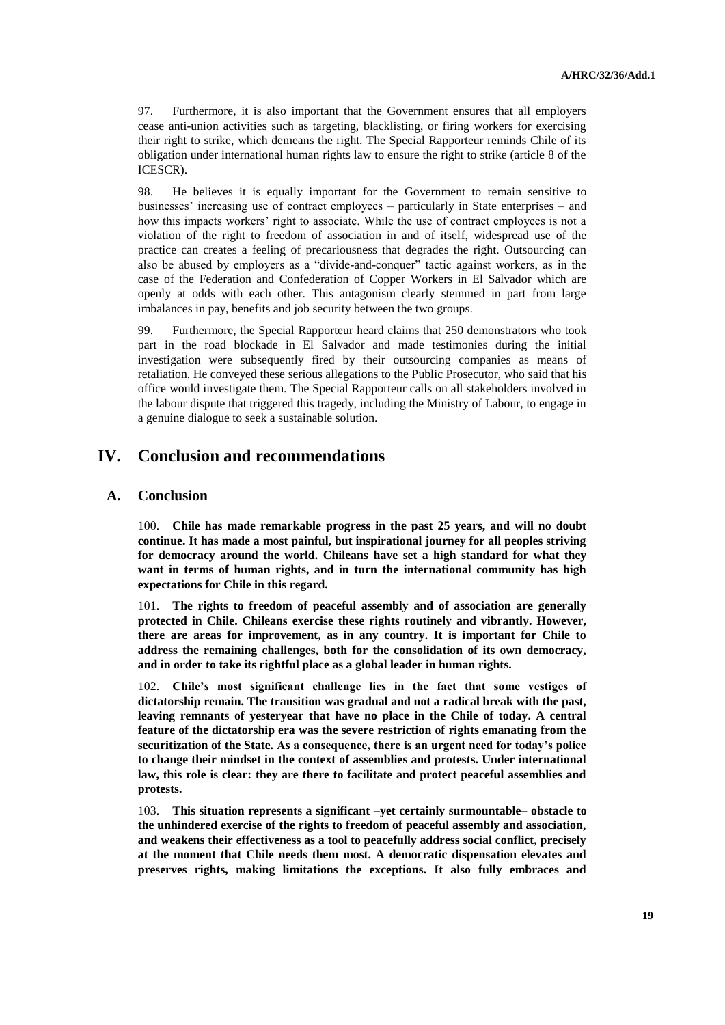97. Furthermore, it is also important that the Government ensures that all employers cease anti-union activities such as targeting, blacklisting, or firing workers for exercising their right to strike, which demeans the right. The Special Rapporteur reminds Chile of its obligation under international human rights law to ensure the right to strike (article 8 of the ICESCR).

98. He believes it is equally important for the Government to remain sensitive to businesses' increasing use of contract employees – particularly in State enterprises – and how this impacts workers' right to associate. While the use of contract employees is not a violation of the right to freedom of association in and of itself, widespread use of the practice can creates a feeling of precariousness that degrades the right. Outsourcing can also be abused by employers as a "divide-and-conquer" tactic against workers, as in the case of the Federation and Confederation of Copper Workers in El Salvador which are openly at odds with each other. This antagonism clearly stemmed in part from large imbalances in pay, benefits and job security between the two groups.

99. Furthermore, the Special Rapporteur heard claims that 250 demonstrators who took part in the road blockade in El Salvador and made testimonies during the initial investigation were subsequently fired by their outsourcing companies as means of retaliation. He conveyed these serious allegations to the Public Prosecutor, who said that his office would investigate them. The Special Rapporteur calls on all stakeholders involved in the labour dispute that triggered this tragedy, including the Ministry of Labour, to engage in a genuine dialogue to seek a sustainable solution.

### **IV. Conclusion and recommendations**

#### **A. Conclusion**

100. **Chile has made remarkable progress in the past 25 years, and will no doubt continue. It has made a most painful, but inspirational journey for all peoples striving for democracy around the world. Chileans have set a high standard for what they want in terms of human rights, and in turn the international community has high expectations for Chile in this regard.**

101. **The rights to freedom of peaceful assembly and of association are generally protected in Chile. Chileans exercise these rights routinely and vibrantly. However, there are areas for improvement, as in any country. It is important for Chile to address the remaining challenges, both for the consolidation of its own democracy, and in order to take its rightful place as a global leader in human rights.** 

102. **Chile's most significant challenge lies in the fact that some vestiges of dictatorship remain. The transition was gradual and not a radical break with the past, leaving remnants of yesteryear that have no place in the Chile of today. A central feature of the dictatorship era was the severe restriction of rights emanating from the securitization of the State. As a consequence, there is an urgent need for today's police to change their mindset in the context of assemblies and protests. Under international law, this role is clear: they are there to facilitate and protect peaceful assemblies and protests.** 

103. **This situation represents a significant –yet certainly surmountable– obstacle to the unhindered exercise of the rights to freedom of peaceful assembly and association, and weakens their effectiveness as a tool to peacefully address social conflict, precisely at the moment that Chile needs them most. A democratic dispensation elevates and preserves rights, making limitations the exceptions. It also fully embraces and**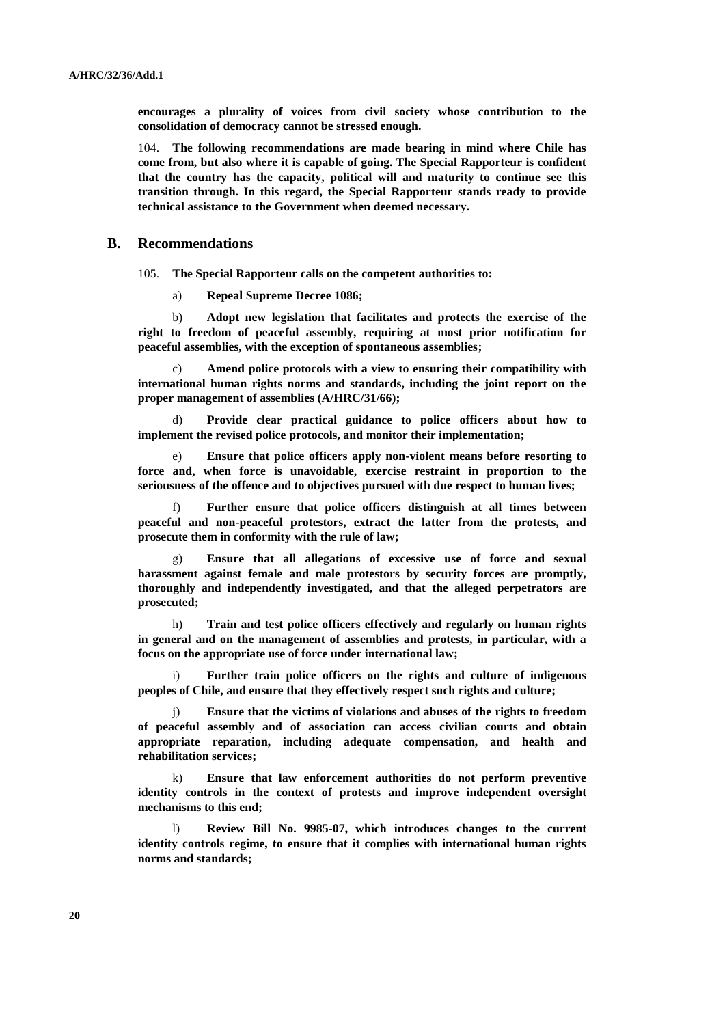**encourages a plurality of voices from civil society whose contribution to the consolidation of democracy cannot be stressed enough.** 

104. **The following recommendations are made bearing in mind where Chile has come from, but also where it is capable of going. The Special Rapporteur is confident that the country has the capacity, political will and maturity to continue see this transition through. In this regard, the Special Rapporteur stands ready to provide technical assistance to the Government when deemed necessary.**

#### **B. Recommendations**

105. **The Special Rapporteur calls on the competent authorities to:**

a) **Repeal Supreme Decree 1086;**

b) **Adopt new legislation that facilitates and protects the exercise of the right to freedom of peaceful assembly, requiring at most prior notification for peaceful assemblies, with the exception of spontaneous assemblies;**

c) **Amend police protocols with a view to ensuring their compatibility with international human rights norms and standards, including the joint report on the proper management of assemblies (A/HRC/31/66);**

d) **Provide clear practical guidance to police officers about how to implement the revised police protocols, and monitor their implementation;**

e) **Ensure that police officers apply non-violent means before resorting to force and, when force is unavoidable, exercise restraint in proportion to the seriousness of the offence and to objectives pursued with due respect to human lives;**

f) **Further ensure that police officers distinguish at all times between peaceful and non-peaceful protestors, extract the latter from the protests, and prosecute them in conformity with the rule of law;**

g) **Ensure that all allegations of excessive use of force and sexual harassment against female and male protestors by security forces are promptly, thoroughly and independently investigated, and that the alleged perpetrators are prosecuted;**

h) **Train and test police officers effectively and regularly on human rights in general and on the management of assemblies and protests, in particular, with a focus on the appropriate use of force under international law;**

i) **Further train police officers on the rights and culture of indigenous peoples of Chile, and ensure that they effectively respect such rights and culture;**

j) **Ensure that the victims of violations and abuses of the rights to freedom of peaceful assembly and of association can access civilian courts and obtain appropriate reparation, including adequate compensation, and health and rehabilitation services;**

k) **Ensure that law enforcement authorities do not perform preventive identity controls in the context of protests and improve independent oversight mechanisms to this end;**

l) **Review Bill No. 9985-07, which introduces changes to the current identity controls regime, to ensure that it complies with international human rights norms and standards;**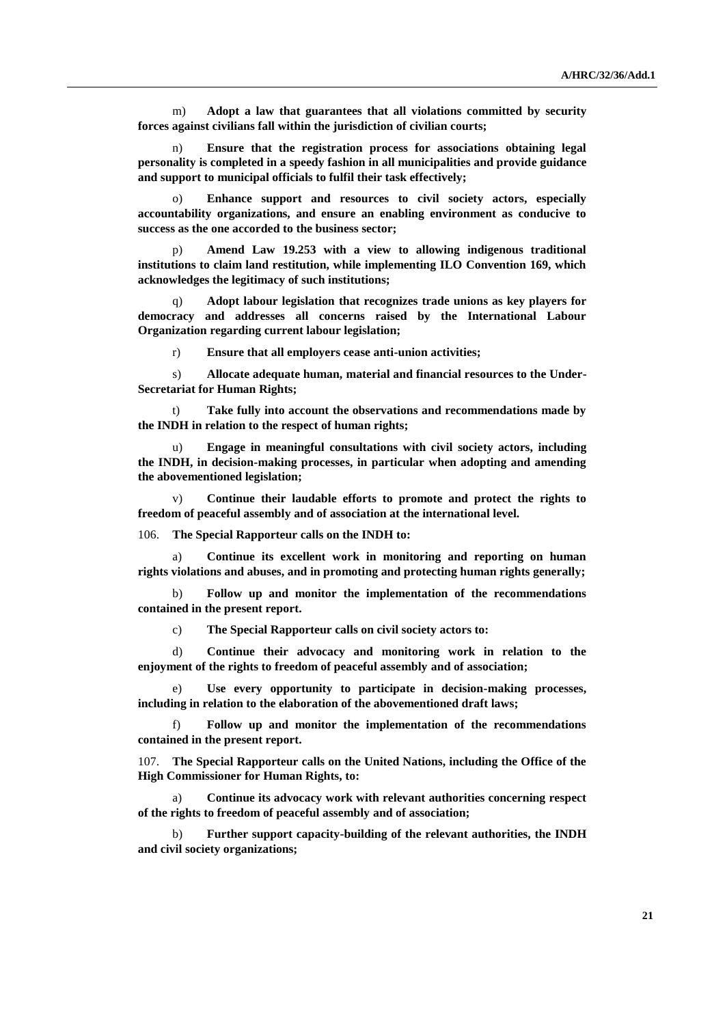m) **Adopt a law that guarantees that all violations committed by security forces against civilians fall within the jurisdiction of civilian courts;**

n) **Ensure that the registration process for associations obtaining legal personality is completed in a speedy fashion in all municipalities and provide guidance and support to municipal officials to fulfil their task effectively;**

o) **Enhance support and resources to civil society actors, especially accountability organizations, and ensure an enabling environment as conducive to success as the one accorded to the business sector;**

p) **Amend Law 19.253 with a view to allowing indigenous traditional institutions to claim land restitution, while implementing ILO Convention 169, which acknowledges the legitimacy of such institutions;**

q) **Adopt labour legislation that recognizes trade unions as key players for democracy and addresses all concerns raised by the International Labour Organization regarding current labour legislation;**

r) **Ensure that all employers cease anti-union activities;**

s) **Allocate adequate human, material and financial resources to the Under-Secretariat for Human Rights;**

t) **Take fully into account the observations and recommendations made by the INDH in relation to the respect of human rights;**

u) **Engage in meaningful consultations with civil society actors, including the INDH, in decision-making processes, in particular when adopting and amending the abovementioned legislation;**

v) **Continue their laudable efforts to promote and protect the rights to freedom of peaceful assembly and of association at the international level.**

106. **The Special Rapporteur calls on the INDH to:**

a) **Continue its excellent work in monitoring and reporting on human rights violations and abuses, and in promoting and protecting human rights generally;**

b) **Follow up and monitor the implementation of the recommendations contained in the present report.**

c) **The Special Rapporteur calls on civil society actors to:**

d) **Continue their advocacy and monitoring work in relation to the enjoyment of the rights to freedom of peaceful assembly and of association;**

e) **Use every opportunity to participate in decision-making processes, including in relation to the elaboration of the abovementioned draft laws;** 

f) **Follow up and monitor the implementation of the recommendations contained in the present report.**

107. **The Special Rapporteur calls on the United Nations, including the Office of the High Commissioner for Human Rights, to:**

a) **Continue its advocacy work with relevant authorities concerning respect of the rights to freedom of peaceful assembly and of association;**

b) **Further support capacity-building of the relevant authorities, the INDH and civil society organizations;**